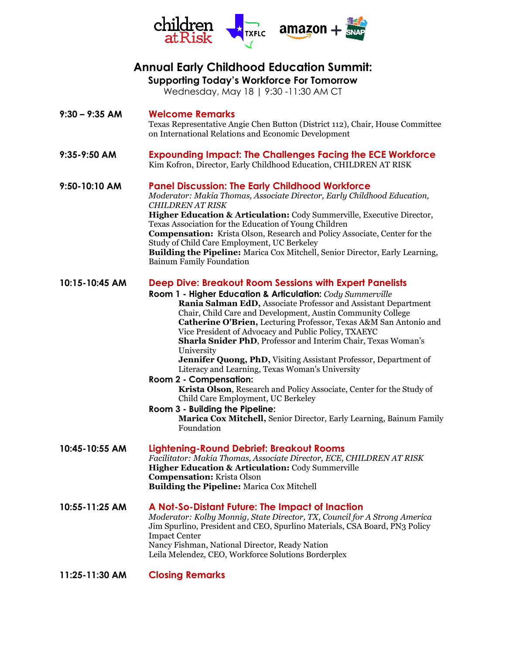

## **Annual Early Childhood Education Summit:**

**Supporting Today's Workforce For Tomorrow**

Wednesday, May 18 | 9:30 -11:30 AM CT

| $9:30 - 9:35$ AM | <b>Welcome Remarks</b><br>Texas Representative Angie Chen Button (District 112), Chair, House Committee<br>on International Relations and Economic Development                                                                                                                                                                                                                                                                                                                                                                                                                                                                                                                                                                                                                                                                                                                 |
|------------------|--------------------------------------------------------------------------------------------------------------------------------------------------------------------------------------------------------------------------------------------------------------------------------------------------------------------------------------------------------------------------------------------------------------------------------------------------------------------------------------------------------------------------------------------------------------------------------------------------------------------------------------------------------------------------------------------------------------------------------------------------------------------------------------------------------------------------------------------------------------------------------|
| 9:35-9:50 AM     | <b>Expounding Impact: The Challenges Facing the ECE Workforce</b><br>Kim Kofron, Director, Early Childhood Education, CHILDREN AT RISK                                                                                                                                                                                                                                                                                                                                                                                                                                                                                                                                                                                                                                                                                                                                         |
| 9:50-10:10 AM    | <b>Panel Discussion: The Early Childhood Workforce</b><br>Moderator: Makia Thomas, Associate Director, Early Childhood Education,<br><b>CHILDREN AT RISK</b><br>Higher Education & Articulation: Cody Summerville, Executive Director,<br>Texas Association for the Education of Young Children<br><b>Compensation:</b> Krista Olson, Research and Policy Associate, Center for the<br>Study of Child Care Employment, UC Berkeley<br>Building the Pipeline: Marica Cox Mitchell, Senior Director, Early Learning,<br><b>Bainum Family Foundation</b>                                                                                                                                                                                                                                                                                                                          |
| 10:15-10:45 AM   | <b>Deep Dive: Breakout Room Sessions with Expert Panelists</b><br>Room 1 - Higher Education & Articulation: Cody Summerville<br>Rania Salman EdD, Associate Professor and Assistant Department<br>Chair, Child Care and Development, Austin Community College<br>Catherine O'Brien, Lecturing Professor, Texas A&M San Antonio and<br>Vice President of Advocacy and Public Policy, TXAEYC<br>Sharla Snider PhD, Professor and Interim Chair, Texas Woman's<br>University<br><b>Jennifer Quong, PhD, Visiting Assistant Professor, Department of</b><br>Literacy and Learning, Texas Woman's University<br><b>Room 2 - Compensation:</b><br>Krista Olson, Research and Policy Associate, Center for the Study of<br>Child Care Employment, UC Berkeley<br>Room 3 - Building the Pipeline:<br>Marica Cox Mitchell, Senior Director, Early Learning, Bainum Family<br>Foundation |
| 10:45-10:55 AM   | Lightening-Round Debrief: Breakout Rooms<br>Facilitator: Makia Thomas, Associate Director, ECE, CHILDREN AT RISK<br><b>Higher Education &amp; Articulation: Cody Summerville</b><br><b>Compensation:</b> Krista Olson<br><b>Building the Pipeline: Marica Cox Mitchell</b>                                                                                                                                                                                                                                                                                                                                                                                                                                                                                                                                                                                                     |
| 10:55-11:25 AM   | A Not-So-Distant Future: The Impact of Inaction<br>Moderator: Kolby Monnig, State Director, TX, Council for A Strong America<br>Jim Spurlino, President and CEO, Spurlino Materials, CSA Board, PN3 Policy<br><b>Impact Center</b><br>Nancy Fishman, National Director, Ready Nation<br>Leila Melendez, CEO, Workforce Solutions Borderplex                                                                                                                                                                                                                                                                                                                                                                                                                                                                                                                                    |
| 11:25-11:30 AM   | <b>Closing Remarks</b>                                                                                                                                                                                                                                                                                                                                                                                                                                                                                                                                                                                                                                                                                                                                                                                                                                                         |